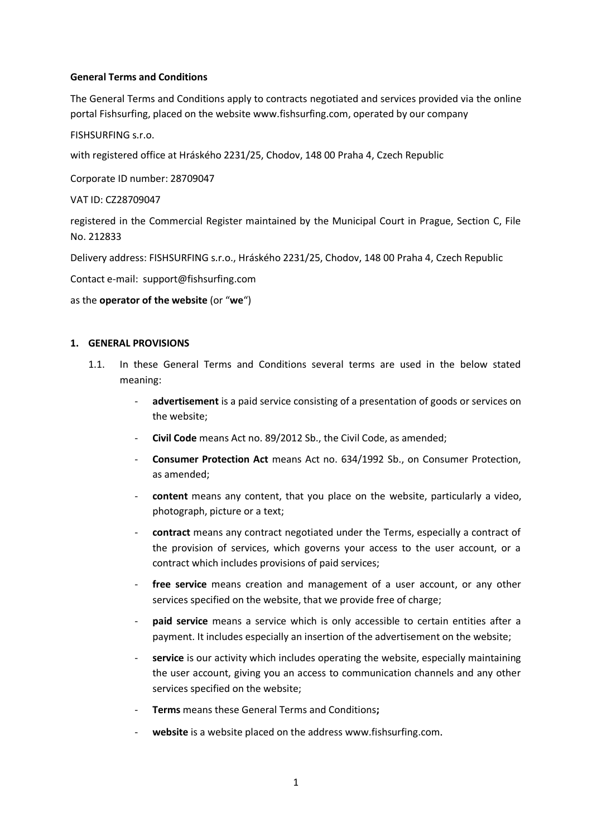### **General Terms and Conditions**

The General Terms and Conditions apply to contracts negotiated and services provided via the online portal Fishsurfing, placed on the website [www.fishsurfing.com,](http://www.fishsurfing.com/) operated by our company

FISHSURFING s.r.o.

with registered office at Hráského 2231/25, Chodov, 148 00 Praha 4, Czech Republic

Corporate ID number: 28709047

VAT ID: CZ28709047

registered in the Commercial Register maintained by the Municipal Court in Prague, Section C, File No. 212833

Delivery address: FISHSURFING s.r.o., Hráského 2231/25, Chodov, 148 00 Praha 4, Czech Republic

Contact e-mail: support@fishsurfing.com

### as the **operator of the website** (or "**we**")

## **1. GENERAL PROVISIONS**

- 1.1. In these General Terms and Conditions several terms are used in the below stated meaning:
	- advertisement is a paid service consisting of a presentation of goods or services on the website;
	- **Civil Code** means Act no. 89/2012 Sb., the Civil Code, as amended;
	- **Consumer Protection Act** means Act no. 634/1992 Sb., on Consumer Protection, as amended;
	- **content** means any content, that you place on the website, particularly a video, photograph, picture or a text;
	- **contract** means any contract negotiated under the Terms, especially a contract of the provision of services, which governs your access to the user account, or a contract which includes provisions of paid services;
	- **free service** means creation and management of a user account, or any other services specified on the website, that we provide free of charge;
	- **paid service** means a service which is only accessible to certain entities after a payment. It includes especially an insertion of the advertisement on the website;
	- service is our activity which includes operating the website, especially maintaining the user account, giving you an access to communication channels and any other services specified on the website;
	- **Terms** means these General Terms and Conditions**;**
	- **website** is a website placed on the address www.fishsurfing.com.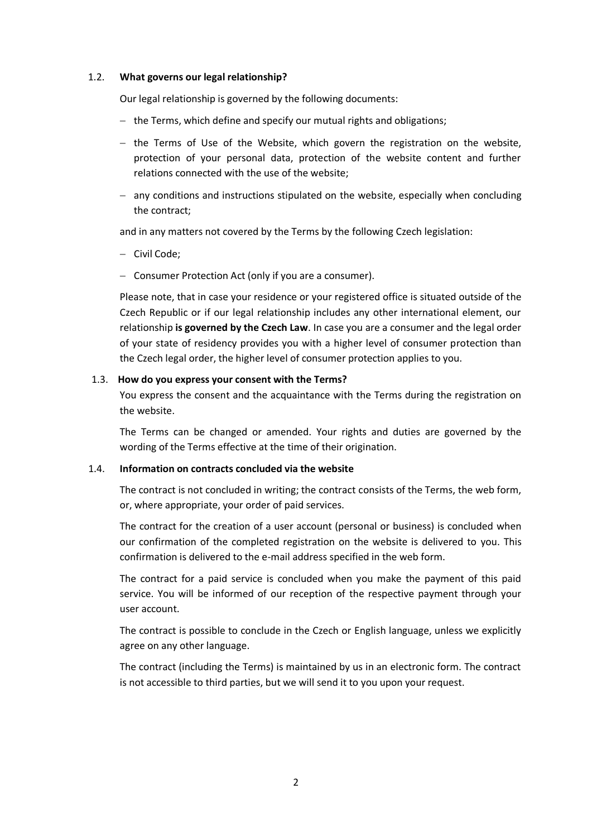### 1.2. **What governs our legal relationship?**

Our legal relationship is governed by the following documents:

- $-$  the Terms, which define and specify our mutual rights and obligations;
- $-$  the Terms of Use of the Website, which govern the registration on the website, protection of your personal data, protection of the website content and further relations connected with the use of the website;
- $-$  any conditions and instructions stipulated on the website, especially when concluding the contract;

and in any matters not covered by the Terms by the following Czech legislation:

- Civil Code;
- Consumer Protection Act (only if you are a consumer).

Please note, that in case your residence or your registered office is situated outside of the Czech Republic or if our legal relationship includes any other international element, our relationship **is governed by the Czech Law**. In case you are a consumer and the legal order of your state of residency provides you with a higher level of consumer protection than the Czech legal order, the higher level of consumer protection applies to you.

#### 1.3. **How do you express your consent with the Terms?**

You express the consent and the acquaintance with the Terms during the registration on the website.

The Terms can be changed or amended. Your rights and duties are governed by the wording of the Terms effective at the time of their origination.

#### 1.4. **Information on contracts concluded via the website**

The contract is not concluded in writing; the contract consists of the Terms, the web form, or, where appropriate, your order of paid services.

The contract for the creation of a user account (personal or business) is concluded when our confirmation of the completed registration on the website is delivered to you. This confirmation is delivered to the e-mail address specified in the web form.

The contract for a paid service is concluded when you make the payment of this paid service. You will be informed of our reception of the respective payment through your user account.

The contract is possible to conclude in the Czech or English language, unless we explicitly agree on any other language.

The contract (including the Terms) is maintained by us in an electronic form. The contract is not accessible to third parties, but we will send it to you upon your request.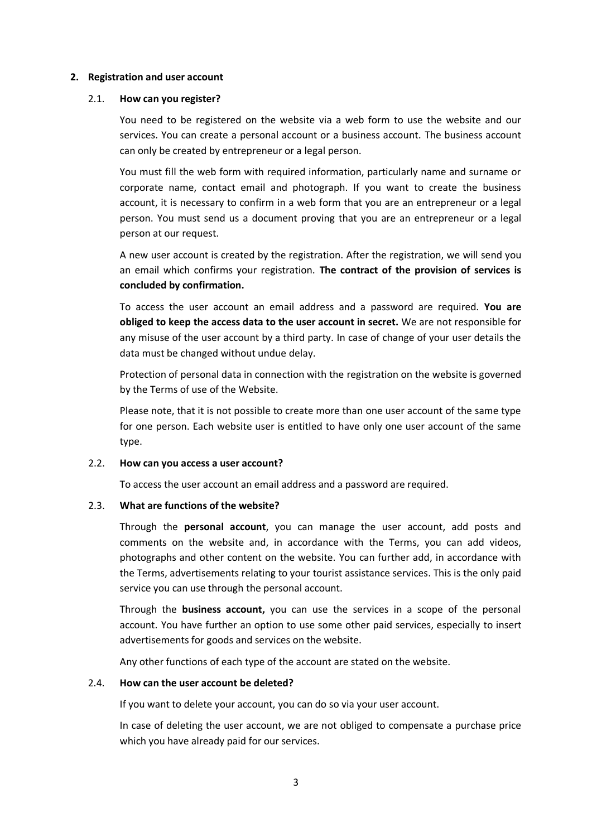#### **2. Registration and user account**

#### 2.1. **How can you register?**

You need to be registered on the website via a web form to use the website and our services. You can create a personal account or a business account. The business account can only be created by entrepreneur or a legal person.

You must fill the web form with required information, particularly name and surname or corporate name, contact email and photograph. If you want to create the business account, it is necessary to confirm in a web form that you are an entrepreneur or a legal person. You must send us a document proving that you are an entrepreneur or a legal person at our request.

A new user account is created by the registration. After the registration, we will send you an email which confirms your registration. **The contract of the provision of services is concluded by confirmation.**

To access the user account an email address and a password are required. **You are obliged to keep the access data to the user account in secret.** We are not responsible for any misuse of the user account by a third party. In case of change of your user details the data must be changed without undue delay.

Protection of personal data in connection with the registration on the website is governed by the Terms of use of the Website.

Please note, that it is not possible to create more than one user account of the same type for one person. Each website user is entitled to have only one user account of the same type.

#### 2.2. **How can you access a user account?**

To access the user account an email address and a password are required.

### 2.3. **What are functions of the website?**

Through the **personal account**, you can manage the user account, add posts and comments on the website and, in accordance with the Terms, you can add videos, photographs and other content on the website. You can further add, in accordance with the Terms, advertisements relating to your tourist assistance services. This is the only paid service you can use through the personal account.

Through the **business account,** you can use the services in a scope of the personal account. You have further an option to use some other paid services, especially to insert advertisements for goods and services on the website.

Any other functions of each type of the account are stated on the website.

### 2.4. **How can the user account be deleted?**

If you want to delete your account, you can do so via your user account.

In case of deleting the user account, we are not obliged to compensate a purchase price which you have already paid for our services.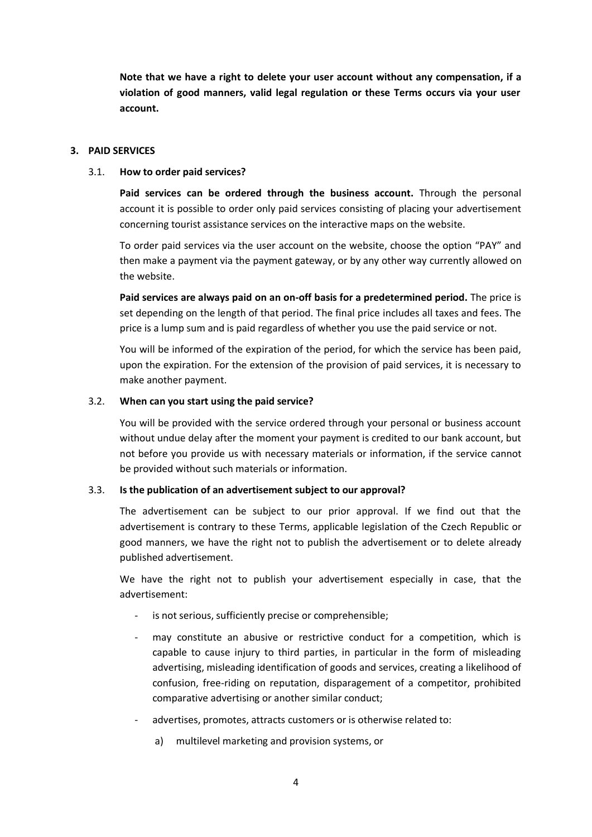**Note that we have a right to delete your user account without any compensation, if a violation of good manners, valid legal regulation or these Terms occurs via your user account.**

### **3. PAID SERVICES**

## 3.1. **How to order paid services?**

**Paid services can be ordered through the business account.** Through the personal account it is possible to order only paid services consisting of placing your advertisement concerning tourist assistance services on the interactive maps on the website.

To order paid services via the user account on the website, choose the option "PAY" and then make a payment via the payment gateway, or by any other way currently allowed on the website.

**Paid services are always paid on an on-off basis for a predetermined period.** The price is set depending on the length of that period. The final price includes all taxes and fees. The price is a lump sum and is paid regardless of whether you use the paid service or not.

You will be informed of the expiration of the period, for which the service has been paid, upon the expiration. For the extension of the provision of paid services, it is necessary to make another payment.

## 3.2. **When can you start using the paid service?**

You will be provided with the service ordered through your personal or business account without undue delay after the moment your payment is credited to our bank account, but not before you provide us with necessary materials or information, if the service cannot be provided without such materials or information.

## 3.3. **Is the publication of an advertisement subject to our approval?**

The advertisement can be subject to our prior approval. If we find out that the advertisement is contrary to these Terms, applicable legislation of the Czech Republic or good manners, we have the right not to publish the advertisement or to delete already published advertisement.

We have the right not to publish your advertisement especially in case, that the advertisement:

- is not serious, sufficiently precise or comprehensible;
- may constitute an abusive or restrictive conduct for a competition, which is capable to cause injury to third parties, in particular in the form of misleading advertising, misleading identification of goods and services, creating a likelihood of confusion, free-riding on reputation, disparagement of a competitor, prohibited comparative advertising or another similar conduct;
- advertises, promotes, attracts customers or is otherwise related to:
	- a) multilevel marketing and provision systems, or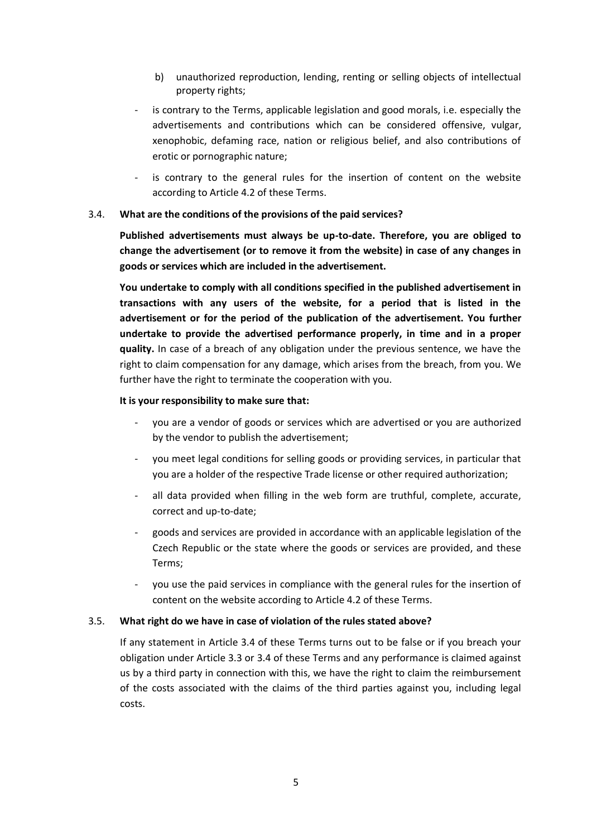- b) unauthorized reproduction, lending, renting or selling objects of intellectual property rights;
- is contrary to the Terms, applicable legislation and good morals, i.e. especially the advertisements and contributions which can be considered offensive, vulgar, xenophobic, defaming race, nation or religious belief, and also contributions of erotic or pornographic nature;
- is contrary to the general rules for the insertion of content on the website according to Article 4.2 of these Terms.

### 3.4. **What are the conditions of the provisions of the paid services?**

**Published advertisements must always be up-to-date. Therefore, you are obliged to change the advertisement (or to remove it from the website) in case of any changes in goods or services which are included in the advertisement.**

**You undertake to comply with all conditions specified in the published advertisement in transactions with any users of the website, for a period that is listed in the advertisement or for the period of the publication of the advertisement. You further undertake to provide the advertised performance properly, in time and in a proper quality.** In case of a breach of any obligation under the previous sentence, we have the right to claim compensation for any damage, which arises from the breach, from you. We further have the right to terminate the cooperation with you.

### **It is your responsibility to make sure that:**

- you are a vendor of goods or services which are advertised or you are authorized by the vendor to publish the advertisement;
- you meet legal conditions for selling goods or providing services, in particular that you are a holder of the respective Trade license or other required authorization;
- all data provided when filling in the web form are truthful, complete, accurate, correct and up-to-date;
- goods and services are provided in accordance with an applicable legislation of the Czech Republic or the state where the goods or services are provided, and these Terms;
- you use the paid services in compliance with the general rules for the insertion of content on the website according to Article 4.2 of these Terms.

### 3.5. **What right do we have in case of violation of the rules stated above?**

If any statement in Article 3.4 of these Terms turns out to be false or if you breach your obligation under Article 3.3 or 3.4 of these Terms and any performance is claimed against us by a third party in connection with this, we have the right to claim the reimbursement of the costs associated with the claims of the third parties against you, including legal costs.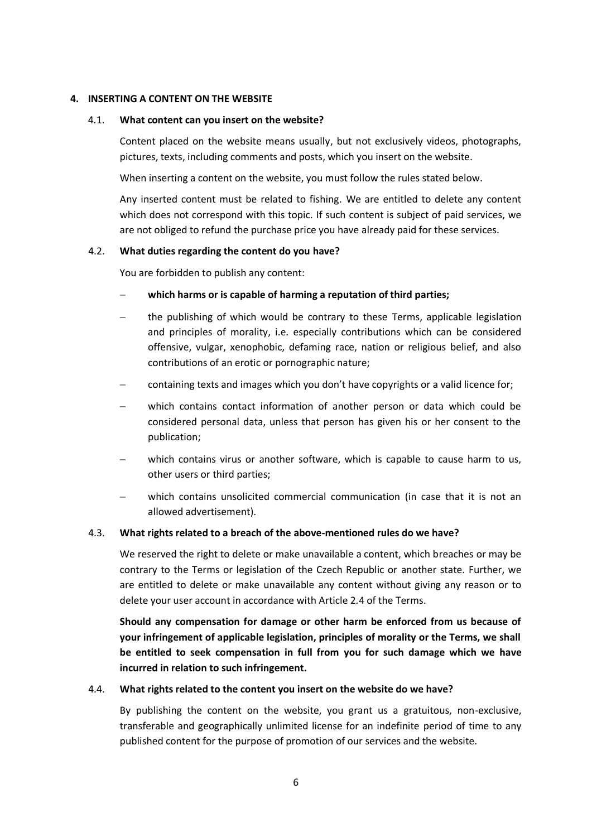### **4. INSERTING A CONTENT ON THE WEBSITE**

#### 4.1. **What content can you insert on the website?**

Content placed on the website means usually, but not exclusively videos, photographs, pictures, texts, including comments and posts, which you insert on the website.

When inserting a content on the website, you must follow the rules stated below.

Any inserted content must be related to fishing. We are entitled to delete any content which does not correspond with this topic. If such content is subject of paid services, we are not obliged to refund the purchase price you have already paid for these services.

#### 4.2. **What duties regarding the content do you have?**

You are forbidden to publish any content:

- **which harms or is capable of harming a reputation of third parties;**
- the publishing of which would be contrary to these Terms, applicable legislation and principles of morality, i.e. especially contributions which can be considered offensive, vulgar, xenophobic, defaming race, nation or religious belief, and also contributions of an erotic or pornographic nature;
- containing texts and images which you don't have copyrights or a valid licence for;
- which contains contact information of another person or data which could be considered personal data, unless that person has given his or her consent to the publication;
- which contains virus or another software, which is capable to cause harm to us, other users or third parties;
- which contains unsolicited commercial communication (in case that it is not an allowed advertisement).

#### 4.3. **What rights related to a breach of the above-mentioned rules do we have?**

We reserved the right to delete or make unavailable a content, which breaches or may be contrary to the Terms or legislation of the Czech Republic or another state. Further, we are entitled to delete or make unavailable any content without giving any reason or to delete your user account in accordance with Article 2.4 of the Terms.

**Should any compensation for damage or other harm be enforced from us because of your infringement of applicable legislation, principles of morality or the Terms, we shall be entitled to seek compensation in full from you for such damage which we have incurred in relation to such infringement.**

#### 4.4. **What rights related to the content you insert on the website do we have?**

By publishing the content on the website, you grant us a gratuitous, non-exclusive, transferable and geographically unlimited license for an indefinite period of time to any published content for the purpose of promotion of our services and the website.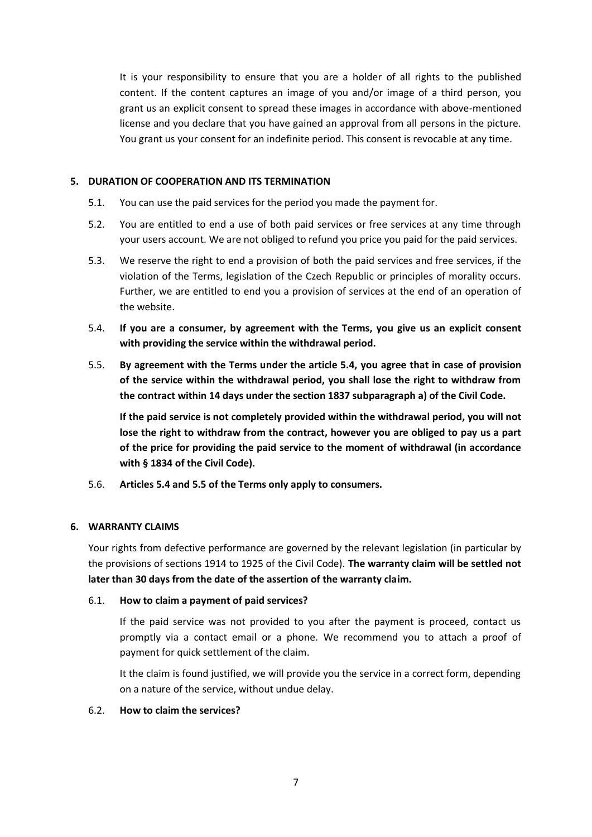It is your responsibility to ensure that you are a holder of all rights to the published content. If the content captures an image of you and/or image of a third person, you grant us an explicit consent to spread these images in accordance with above-mentioned license and you declare that you have gained an approval from all persons in the picture. You grant us your consent for an indefinite period. This consent is revocable at any time.

## **5. DURATION OF COOPERATION AND ITS TERMINATION**

- 5.1. You can use the paid services for the period you made the payment for.
- 5.2. You are entitled to end a use of both paid services or free services at any time through your users account. We are not obliged to refund you price you paid for the paid services.
- 5.3. We reserve the right to end a provision of both the paid services and free services, if the violation of the Terms, legislation of the Czech Republic or principles of morality occurs. Further, we are entitled to end you a provision of services at the end of an operation of the website.
- 5.4. **If you are a consumer, by agreement with the Terms, you give us an explicit consent with providing the service within the withdrawal period.**
- 5.5. **By agreement with the Terms under the article 5.4, you agree that in case of provision of the service within the withdrawal period, you shall lose the right to withdraw from the contract within 14 days under the section 1837 subparagraph a) of the Civil Code.**

**If the paid service is not completely provided within the withdrawal period, you will not lose the right to withdraw from the contract, however you are obliged to pay us a part of the price for providing the paid service to the moment of withdrawal (in accordance with § 1834 of the Civil Code).**

5.6. **Articles 5.4 and 5.5 of the Terms only apply to consumers.**

### **6. WARRANTY CLAIMS**

Your rights from defective performance are governed by the relevant legislation (in particular by the provisions of sections 1914 to 1925 of the Civil Code). **The warranty claim will be settled not later than 30 days from the date of the assertion of the warranty claim.**

### 6.1. **How to claim a payment of paid services?**

If the paid service was not provided to you after the payment is proceed, contact us promptly via a contact email or a phone. We recommend you to attach a proof of payment for quick settlement of the claim.

It the claim is found justified, we will provide you the service in a correct form, depending on a nature of the service, without undue delay.

### 6.2. **How to claim the services?**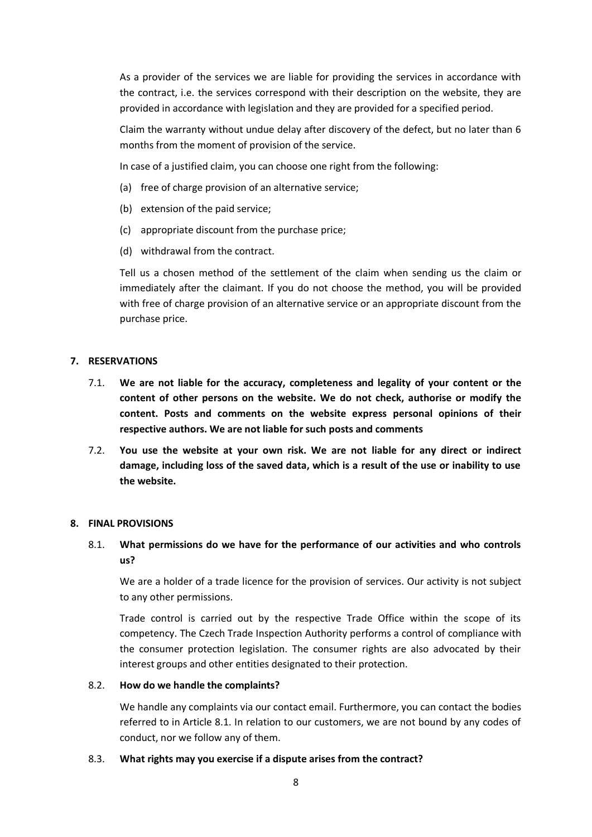As a provider of the services we are liable for providing the services in accordance with the contract, i.e. the services correspond with their description on the website, they are provided in accordance with legislation and they are provided for a specified period.

Claim the warranty without undue delay after discovery of the defect, but no later than 6 months from the moment of provision of the service.

In case of a justified claim, you can choose one right from the following:

- (a) free of charge provision of an alternative service;
- (b) extension of the paid service;
- (c) appropriate discount from the purchase price;
- (d) withdrawal from the contract.

Tell us a chosen method of the settlement of the claim when sending us the claim or immediately after the claimant. If you do not choose the method, you will be provided with free of charge provision of an alternative service or an appropriate discount from the purchase price.

## **7. RESERVATIONS**

- 7.1. **We are not liable for the accuracy, completeness and legality of your content or the content of other persons on the website. We do not check, authorise or modify the content. Posts and comments on the website express personal opinions of their respective authors. We are not liable for such posts and comments**
- 7.2. **You use the website at your own risk. We are not liable for any direct or indirect damage, including loss of the saved data, which is a result of the use or inability to use the website.**

### **8. FINAL PROVISIONS**

# 8.1. **What permissions do we have for the performance of our activities and who controls us?**

We are a holder of a trade licence for the provision of services. Our activity is not subject to any other permissions.

Trade control is carried out by the respective Trade Office within the scope of its competency. The Czech Trade Inspection Authority performs a control of compliance with the consumer protection legislation. The consumer rights are also advocated by their interest groups and other entities designated to their protection.

### 8.2. **How do we handle the complaints?**

We handle any complaints via our contact email. Furthermore, you can contact the bodies referred to in Article 8.1. In relation to our customers, we are not bound by any codes of conduct, nor we follow any of them.

### 8.3. **What rights may you exercise if a dispute arises from the contract?**